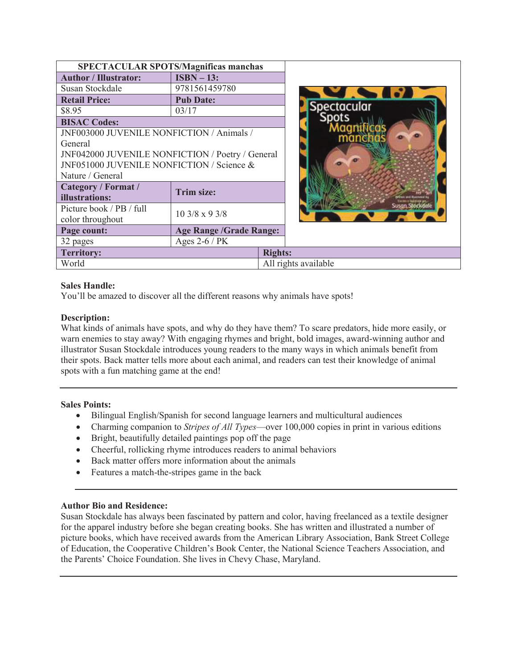| <b>SPECTACULAR SPOTS/Magnificas manchas</b>      |                                     |                      |  |                    |
|--------------------------------------------------|-------------------------------------|----------------------|--|--------------------|
| <b>Author / Illustrator:</b>                     | $ISBN - 13:$                        |                      |  |                    |
| Susan Stockdale                                  | 9781561459780                       |                      |  |                    |
| <b>Retail Price:</b>                             | <b>Pub Date:</b>                    |                      |  |                    |
| \$8.95                                           | 03/17                               |                      |  | <b>Spectacular</b> |
| <b>BISAC Codes:</b>                              |                                     |                      |  |                    |
| JNF003000 JUVENILE NONFICTION / Animals /        |                                     |                      |  |                    |
| General                                          |                                     |                      |  |                    |
| JNF042000 JUVENILE NONFICTION / Poetry / General |                                     |                      |  |                    |
| JNF051000 JUVENILE NONFICTION / Science &        |                                     |                      |  |                    |
| Nature / General                                 |                                     |                      |  |                    |
| Category / Format /                              | Trim size:                          |                      |  |                    |
| illustrations:                                   |                                     |                      |  |                    |
| Picture book / PB / full                         | $10\frac{3}{8} \times 9\frac{3}{8}$ |                      |  |                    |
| color throughout                                 |                                     |                      |  |                    |
| Page count:                                      | <b>Age Range /Grade Range:</b>      |                      |  |                    |
| 32 pages                                         | Ages $2-6$ / PK                     |                      |  |                    |
| <b>Territory:</b>                                |                                     | <b>Rights:</b>       |  |                    |
| World                                            |                                     | All rights available |  |                    |

# **Sales Handle:**

You'll be amazed to discover all the different reasons why animals have spots!

## **Description:**

What kinds of animals have spots, and why do they have them? To scare predators, hide more easily, or warn enemies to stay away? With engaging rhymes and bright, bold images, award-winning author and illustrator Susan Stockdale introduces young readers to the many ways in which animals benefit from their spots. Back matter tells more about each animal, and readers can test their knowledge of animal spots with a fun matching game at the end!

#### **Sales Points:**

- · Bilingual English/Spanish for second language learners and multicultural audiences
- · Charming companion to *Stripes of All Types*—over 100,000 copies in print in various editions
- Bright, beautifully detailed paintings pop off the page
- Cheerful, rollicking rhyme introduces readers to animal behaviors
- Back matter offers more information about the animals
- Features a match-the-stripes game in the back

#### **Author Bio and Residence:**

Susan Stockdale has always been fascinated by pattern and color, having freelanced as a textile designer for the apparel industry before she began creating books. She has written and illustrated a number of picture books, which have received awards from the American Library Association, Bank Street College of Education, the Cooperative Children's Book Center, the National Science Teachers Association, and the Parents' Choice Foundation. She lives in Chevy Chase, Maryland.